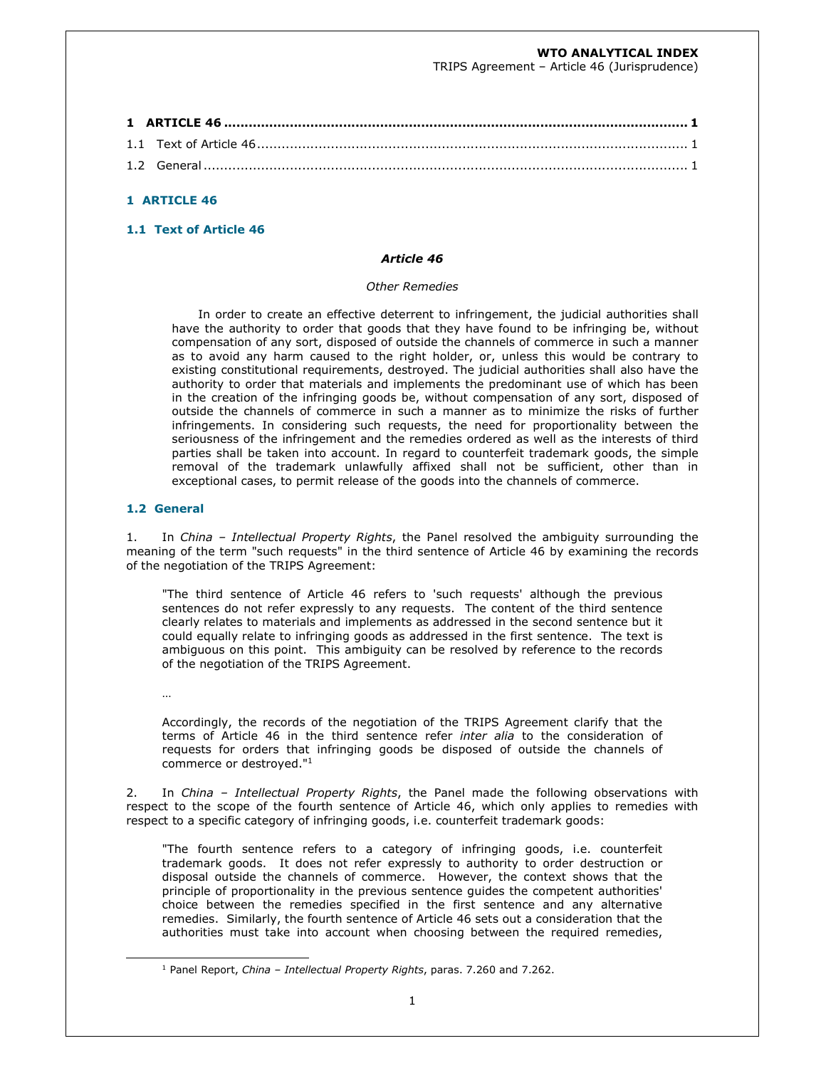## **WTO ANALYTICAL INDEX**

TRIPS Agreement – Article 46 (Jurisprudence)

# **1 ARTICLE 46**

# **1.1 Text of Article 46**

#### *Article 46*

#### *Other Remedies*

 In order to create an effective deterrent to infringement, the judicial authorities shall have the authority to order that goods that they have found to be infringing be, without compensation of any sort, disposed of outside the channels of commerce in such a manner as to avoid any harm caused to the right holder, or, unless this would be contrary to existing constitutional requirements, destroyed. The judicial authorities shall also have the authority to order that materials and implements the predominant use of which has been in the creation of the infringing goods be, without compensation of any sort, disposed of outside the channels of commerce in such a manner as to minimize the risks of further infringements. In considering such requests, the need for proportionality between the seriousness of the infringement and the remedies ordered as well as the interests of third parties shall be taken into account. In regard to counterfeit trademark goods, the simple removal of the trademark unlawfully affixed shall not be sufficient, other than in exceptional cases, to permit release of the goods into the channels of commerce.

#### **1.2 General**

1. In *China – Intellectual Property Rights*, the Panel resolved the ambiguity surrounding the meaning of the term "such requests" in the third sentence of Article 46 by examining the records of the negotiation of the TRIPS Agreement:

"The third sentence of Article 46 refers to 'such requests' although the previous sentences do not refer expressly to any requests. The content of the third sentence clearly relates to materials and implements as addressed in the second sentence but it could equally relate to infringing goods as addressed in the first sentence. The text is ambiguous on this point. This ambiguity can be resolved by reference to the records of the negotiation of the TRIPS Agreement.

…

Accordingly, the records of the negotiation of the TRIPS Agreement clarify that the terms of Article 46 in the third sentence refer *inter alia* to the consideration of requests for orders that infringing goods be disposed of outside the channels of commerce or destroyed."<sup>1</sup>

2. In *China – Intellectual Property Rights*, the Panel made the following observations with respect to the scope of the fourth sentence of Article 46, which only applies to remedies with respect to a specific category of infringing goods, i.e. counterfeit trademark goods:

"The fourth sentence refers to a category of infringing goods, i.e. counterfeit trademark goods. It does not refer expressly to authority to order destruction or disposal outside the channels of commerce. However, the context shows that the principle of proportionality in the previous sentence guides the competent authorities' choice between the remedies specified in the first sentence and any alternative remedies. Similarly, the fourth sentence of Article 46 sets out a consideration that the authorities must take into account when choosing between the required remedies,

<sup>1</sup> Panel Report, *China – Intellectual Property Rights*, paras. 7.260 and 7.262.